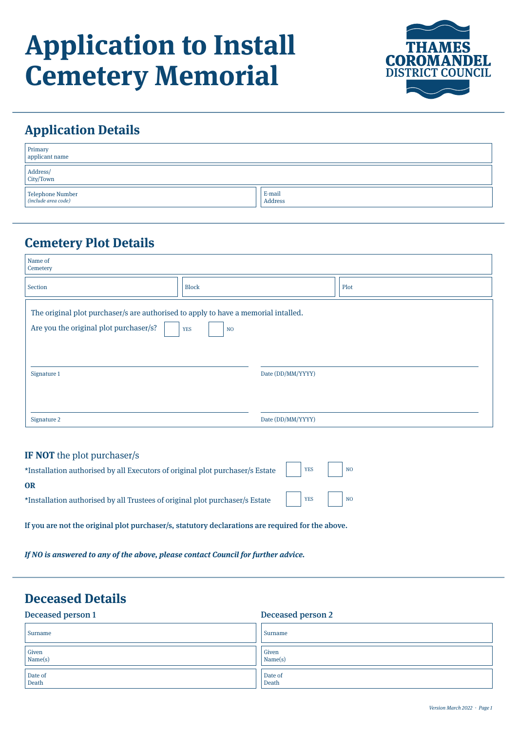# **Application to Install Cemetery Memorial**



### **Application Details**

| Primary<br>applicant name               |                   |
|-----------------------------------------|-------------------|
| Address/<br>City/Town                   |                   |
| Telephone Number<br>(include area code) | E-mail<br>Address |

#### **Cemetery Plot Details**

| Name of<br>Cemetery                                                                                                          |                              |      |
|------------------------------------------------------------------------------------------------------------------------------|------------------------------|------|
| Section                                                                                                                      | <b>Block</b>                 | Plot |
| The original plot purchaser/s are authorised to apply to have a memorial intalled.<br>Are you the original plot purchaser/s? | <b>YES</b><br>N <sub>O</sub> |      |
| Signature 1                                                                                                                  | Date (DD/MM/YYYY)            |      |
| Signature 2                                                                                                                  | Date (DD/MM/YYYY)            |      |

#### **IF NOT** the plot purchaser/s

| OR                                                                           |  |  |
|------------------------------------------------------------------------------|--|--|
| *Installation authorised by all Trustees of original plot purchaser/s Estate |  |  |

If you are not the original plot purchaser/s, statutory declarations are required for the above.

**If NO is answered to any of the above, please contact Council for further advice.**

#### **Deceased Details**

#### Deceased person 1 Deceased person 2 Given Name(s) Given Name(s) Surname Surname Surname Surname Surname Surname Surname Surname Surname Surname Surname Surname Surname Surname Date of Death Date of Death